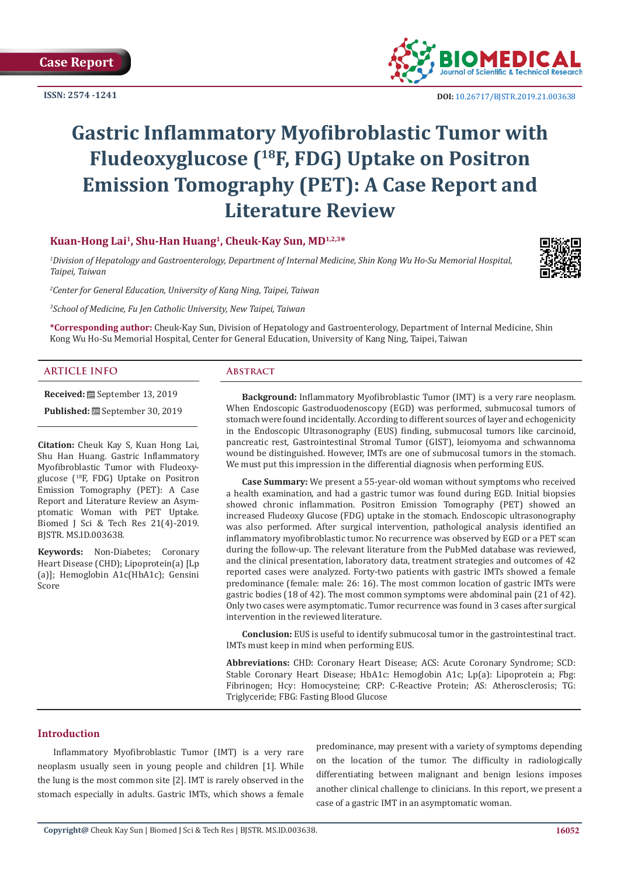**ISSN: 2574 -1241**



# **Gastric Inflammatory Myofibroblastic Tumor with Fludeoxyglucose (18F, FDG) Uptake on Positron Emission Tomography (PET): A Case Report and Literature Review**

# **Kuan-Hong Lai<sup>1</sup>, Shu-Han Huang<sup>1</sup>, Cheuk-Kay Sun, MD1,2,3\***

*1 Division of Hepatology and Gastroenterology, Department of Internal Medicine, Shin Kong Wu Ho-Su Memorial Hospital, Taipei, Taiwan*



*2 Center for General Education, University of Kang Ning, Taipei, Taiwan*

*3 School of Medicine, Fu Jen Catholic University, New Taipei, Taiwan*

**\*Corresponding author:** Cheuk-Kay Sun, Division of Hepatology and Gastroenterology, Department of Internal Medicine, Shin Kong Wu Ho-Su Memorial Hospital, Center for General Education, University of Kang Ning, Taipei, Taiwan

# **ARTICLE INFO Abstract**

**Received:** September 13, 2019

Published: <sup>[26]</sup> September 30, 2019

**Citation:** Cheuk Kay S, Kuan Hong Lai, Shu Han Huang. Gastric Inflammatory Myofibroblastic Tumor with Fludeoxyglucose (<sup>18</sup>F, FDG) Uptake on Positron Emission Tomography (PET): A Case Report and Literature Review an Asymptomatic Woman with PET Uptake. Biomed J Sci & Tech Res 21(4)-2019. BJSTR. MS.ID.003638.

**Keywords:** Non-Diabetes; Coronary Heart Disease (CHD); Lipoprotein(a) [Lp (a)]; Hemoglobin A1c(HbA1c); Gensini Score

**Background:** Inflammatory Myofibroblastic Tumor (IMT) is a very rare neoplasm. When Endoscopic Gastroduodenoscopy (EGD) was performed, submucosal tumors of stomach were found incidentally. According to different sources of layer and echogenicity in the Endoscopic Ultrasonography (EUS) finding, submucosal tumors like carcinoid, pancreatic rest, Gastrointestinal Stromal Tumor (GIST), leiomyoma and schwannoma wound be distinguished. However, IMTs are one of submucosal tumors in the stomach. We must put this impression in the differential diagnosis when performing EUS.

**Case Summary:** We present a 55-year-old woman without symptoms who received a health examination, and had a gastric tumor was found during EGD. Initial biopsies showed chronic inflammation. Positron Emission Tomography (PET) showed an increased Fludeoxy Glucose (FDG) uptake in the stomach. Endoscopic ultrasonography was also performed. After surgical intervention, pathological analysis identified an inflammatory myofibroblastic tumor. No recurrence was observed by EGD or a PET scan during the follow-up. The relevant literature from the PubMed database was reviewed, and the clinical presentation, laboratory data, treatment strategies and outcomes of 42 reported cases were analyzed. Forty-two patients with gastric IMTs showed a female predominance (female: male: 26: 16). The most common location of gastric IMTs were gastric bodies (18 of 42). The most common symptoms were abdominal pain (21 of 42). Only two cases were asymptomatic. Tumor recurrence was found in 3 cases after surgical intervention in the reviewed literature.

**Conclusion:** EUS is useful to identify submucosal tumor in the gastrointestinal tract. IMTs must keep in mind when performing EUS.

**Abbreviations:** CHD: Coronary Heart Disease; ACS: Acute Coronary Syndrome; SCD: Stable Coronary Heart Disease; HbA1c: Hemoglobin A1c; Lp(a): Lipoprotein a; Fbg: Fibrinogen; Hcy: Homocysteine; CRP: C-Reactive Protein; AS: Atherosclerosis; TG: Triglyceride; FBG: Fasting Blood Glucose

# **Introduction**

Inflammatory Myofibroblastic Tumor (IMT) is a very rare neoplasm usually seen in young people and children [1]. While the lung is the most common site [2]. IMT is rarely observed in the stomach especially in adults. Gastric IMTs, which shows a female predominance, may present with a variety of symptoms depending on the location of the tumor. The difficulty in radiologically differentiating between malignant and benign lesions imposes another clinical challenge to clinicians. In this report, we present a case of a gastric IMT in an asymptomatic woman.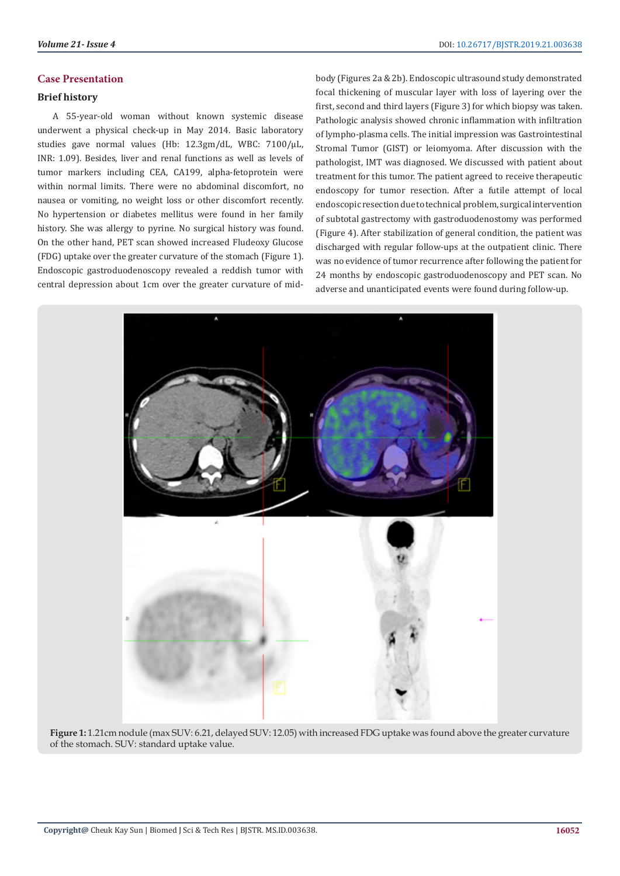# **Case Presentation**

# **Brief history**

A 55-year-old woman without known systemic disease underwent a physical check-up in May 2014. Basic laboratory studies gave normal values (Hb: 12.3gm/dL, WBC: 7100/μL, INR: 1.09). Besides, liver and renal functions as well as levels of tumor markers including CEA, CA199, alpha-fetoprotein were within normal limits. There were no abdominal discomfort, no nausea or vomiting, no weight loss or other discomfort recently. No hypertension or diabetes mellitus were found in her family history. She was allergy to pyrine. No surgical history was found. On the other hand, PET scan showed increased Fludeoxy Glucose (FDG) uptake over the greater curvature of the stomach (Figure 1). Endoscopic gastroduodenoscopy revealed a reddish tumor with central depression about 1cm over the greater curvature of midbody (Figures 2a & 2b). Endoscopic ultrasound study demonstrated focal thickening of muscular layer with loss of layering over the first, second and third layers (Figure 3) for which biopsy was taken. Pathologic analysis showed chronic inflammation with infiltration of lympho-plasma cells. The initial impression was Gastrointestinal Stromal Tumor (GIST) or leiomyoma. After discussion with the pathologist, IMT was diagnosed. We discussed with patient about treatment for this tumor. The patient agreed to receive therapeutic endoscopy for tumor resection. After a futile attempt of local endoscopic resection due to technical problem, surgical intervention of subtotal gastrectomy with gastroduodenostomy was performed (Figure 4). After stabilization of general condition, the patient was discharged with regular follow-ups at the outpatient clinic. There was no evidence of tumor recurrence after following the patient for 24 months by endoscopic gastroduodenoscopy and PET scan. No adverse and unanticipated events were found during follow-up.



**Figure 1:** 1.21cm nodule (max SUV: 6.21, delayed SUV: 12.05) with increased FDG uptake was found above the greater curvature of the stomach. SUV: standard uptake value.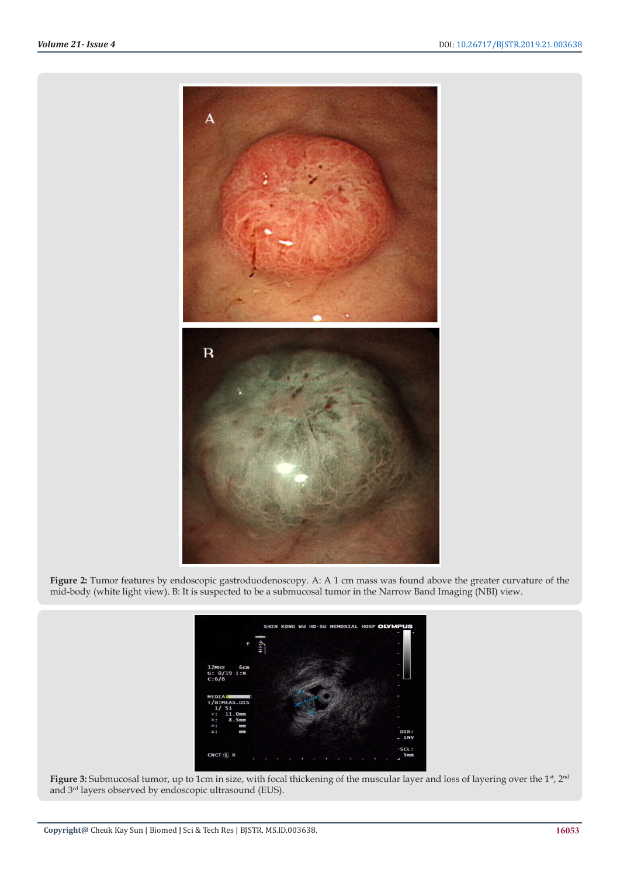

**Figure 2:** Tumor features by endoscopic gastroduodenoscopy. A: A 1 cm mass was found above the greater curvature of the mid-body (white light view). B: It is suspected to be a submucosal tumor in the Narrow Band Imaging (NBI) view.



Figure 3: Submucosal tumor, up to 1cm in size, with focal thickening of the muscular layer and loss of layering over the 1<sup>st</sup>, 2<sup>nd</sup> and 3rd layers observed by endoscopic ultrasound (EUS).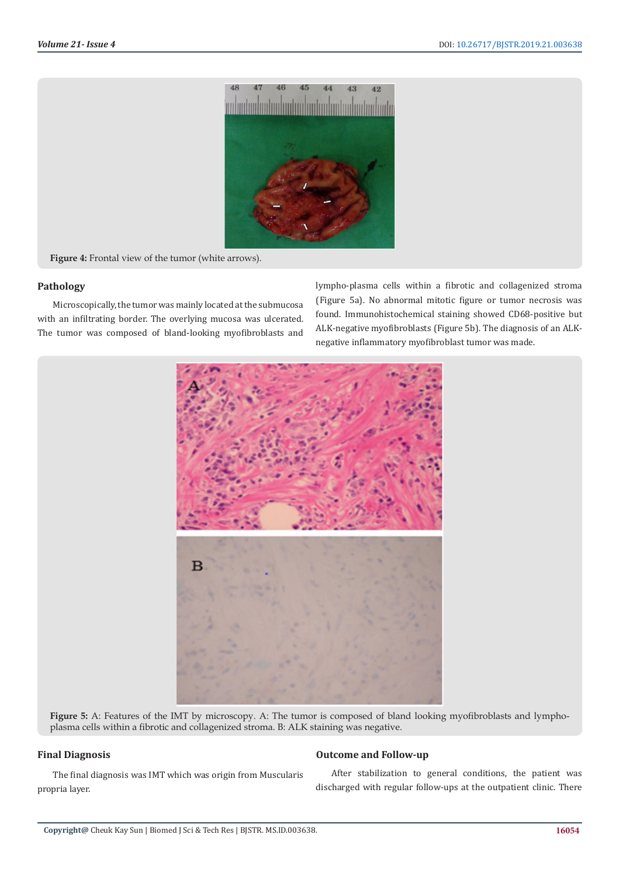

**Figure 4:** Frontal view of the tumor (white arrows).

# **Pathology**

Microscopically, the tumor was mainly located at the submucosa with an infiltrating border. The overlying mucosa was ulcerated. The tumor was composed of bland-looking myofibroblasts and

lympho-plasma cells within a fibrotic and collagenized stroma (Figure 5a). No abnormal mitotic figure or tumor necrosis was found. Immunohistochemical staining showed CD68-positive but ALK-negative myofibroblasts (Figure 5b). The diagnosis of an ALKnegative inflammatory myofibroblast tumor was made.



**Figure 5:** A: Features of the IMT by microscopy. A: The tumor is composed of bland looking myofibroblasts and lymphoplasma cells within a fibrotic and collagenized stroma. B: ALK staining was negative.

# **Final Diagnosis**

The final diagnosis was IMT which was origin from Muscularis propria layer.

# **Outcome and Follow-up**

After stabilization to general conditions, the patient was discharged with regular follow-ups at the outpatient clinic. There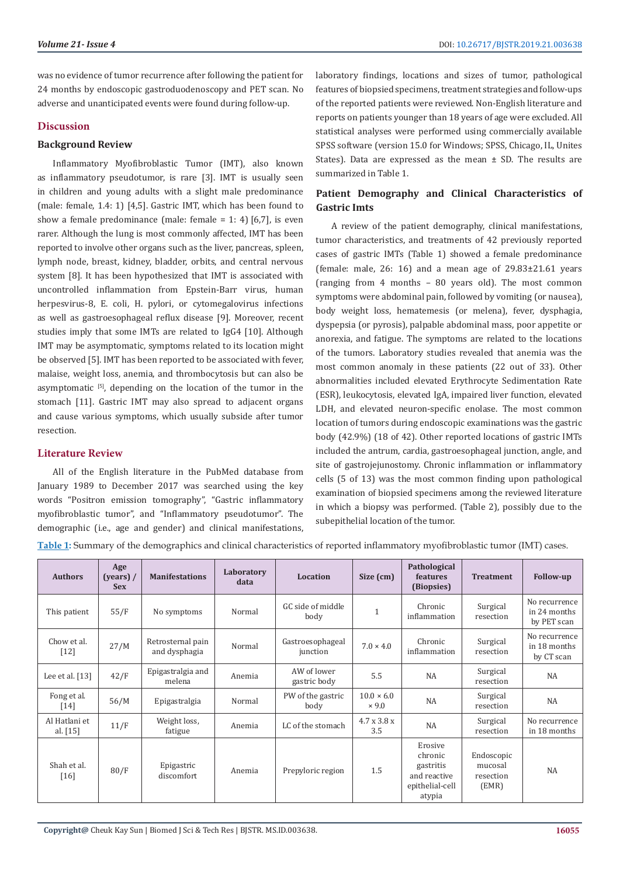was no evidence of tumor recurrence after following the patient for 24 months by endoscopic gastroduodenoscopy and PET scan. No adverse and unanticipated events were found during follow-up.

# **Discussion**

# **Background Review**

Inflammatory Myofibroblastic Tumor (IMT), also known as inflammatory pseudotumor, is rare [3]. IMT is usually seen in children and young adults with a slight male predominance (male: female, 1.4: 1) [4,5]. Gastric IMT, which has been found to show a female predominance (male: female = 1: 4) [6,7], is even rarer. Although the lung is most commonly affected, IMT has been reported to involve other organs such as the liver, pancreas, spleen, lymph node, breast, kidney, bladder, orbits, and central nervous system [8]. It has been hypothesized that IMT is associated with uncontrolled inflammation from Epstein-Barr virus, human herpesvirus-8, E. coli, H. pylori, or cytomegalovirus infections as well as gastroesophageal reflux disease [9]. Moreover, recent studies imply that some IMTs are related to IgG4 [10]. Although IMT may be asymptomatic, symptoms related to its location might be observed [5]. IMT has been reported to be associated with fever, malaise, weight loss, anemia, and thrombocytosis but can also be asymptomatic [5], depending on the location of the tumor in the stomach [11]. Gastric IMT may also spread to adjacent organs and cause various symptoms, which usually subside after tumor resection.

# **Literature Review**

All of the English literature in the PubMed database from January 1989 to December 2017 was searched using the key words "Positron emission tomography", "Gastric inflammatory myofibroblastic tumor", and "Inflammatory pseudotumor". The demographic (i.e., age and gender) and clinical manifestations,

laboratory findings, locations and sizes of tumor, pathological features of biopsied specimens, treatment strategies and follow-ups of the reported patients were reviewed. Non-English literature and reports on patients younger than 18 years of age were excluded. All statistical analyses were performed using commercially available SPSS software (version 15.0 for Windows; SPSS, Chicago, IL, Unites States). Data are expressed as the mean  $\pm$  SD. The results are summarized in Table 1.

# **Patient Demography and Clinical Characteristics of Gastric Imts**

A review of the patient demography, clinical manifestations, tumor characteristics, and treatments of 42 previously reported cases of gastric IMTs (Table 1) showed a female predominance (female: male,  $26: 16$ ) and a mean age of  $29.83\pm21.61$  years (ranging from 4 months – 80 years old). The most common symptoms were abdominal pain, followed by vomiting (or nausea), body weight loss, hematemesis (or melena), fever, dysphagia, dyspepsia (or pyrosis), palpable abdominal mass, poor appetite or anorexia, and fatigue. The symptoms are related to the locations of the tumors. Laboratory studies revealed that anemia was the most common anomaly in these patients (22 out of 33). Other abnormalities included elevated Erythrocyte Sedimentation Rate (ESR), leukocytosis, elevated IgA, impaired liver function, elevated LDH, and elevated neuron-specific enolase. The most common location of tumors during endoscopic examinations was the gastric body (42.9%) (18 of 42). Other reported locations of gastric IMTs included the antrum, cardia, gastroesophageal junction, angle, and site of gastrojejunostomy. Chronic inflammation or inflammatory cells (5 of 13) was the most common finding upon pathological examination of biopsied specimens among the reviewed literature in which a biopsy was performed. (Table 2), possibly due to the subepithelial location of the tumor.

**Table 1:** Summary of the demographics and clinical characteristics of reported inflammatory myofibroblastic tumor (IMT) cases.

| <b>Authors</b>              | Age<br>$\frac{1}{2}$ (years) /<br><b>Sex</b> | <b>Manifestations</b>              | Laboratory<br>data | Location                     | Size (cm)                         | Pathological<br>features<br>(Biopsies)                                       | <b>Treatment</b>                            | <b>Follow-up</b>                             |
|-----------------------------|----------------------------------------------|------------------------------------|--------------------|------------------------------|-----------------------------------|------------------------------------------------------------------------------|---------------------------------------------|----------------------------------------------|
| This patient                | 55/F                                         | No symptoms                        | Normal             | GC side of middle<br>body    | $\mathbf{1}$                      | Chronic<br>inflammation                                                      | Surgical<br>resection                       | No recurrence<br>in 24 months<br>by PET scan |
| Chow et al.<br>$[12]$       | 27/M                                         | Retrosternal pain<br>and dysphagia | Normal             | Gastroesophageal<br>junction | $7.0 \times 4.0$                  | Chronic<br>inflammation                                                      | Surgical<br>resection                       | No recurrence<br>in 18 months<br>by CT scan  |
| Lee et al. $[13]$           | 42/F                                         | Epigastralgia and<br>melena        | Anemia             | AW of lower<br>gastric body  | 5.5                               | <b>NA</b>                                                                    | Surgical<br>resection                       | <b>NA</b>                                    |
| Fong et al.<br>$[14]$       | 56/M                                         | Epigastralgia                      | Normal             | PW of the gastric<br>body    | $10.0 \times 6.0$<br>$\times$ 9.0 | NA                                                                           | Surgical<br>resection                       | NA                                           |
| Al Hatlani et<br>al. $[15]$ | 11/F                                         | Weight loss,<br>fatigue            | Anemia             | LC of the stomach            | 4.7 x 3.8 x<br>3.5                | NA                                                                           | Surgical<br>resection                       | No recurrence<br>in 18 months                |
| Shah et al.<br>[16]         | 80/F                                         | Epigastric<br>discomfort           | Anemia             | Prepyloric region            | 1.5                               | Erosive<br>chronic<br>gastritis<br>and reactive<br>epithelial-cell<br>atypia | Endoscopic<br>mucosal<br>resection<br>(EMR) | NA                                           |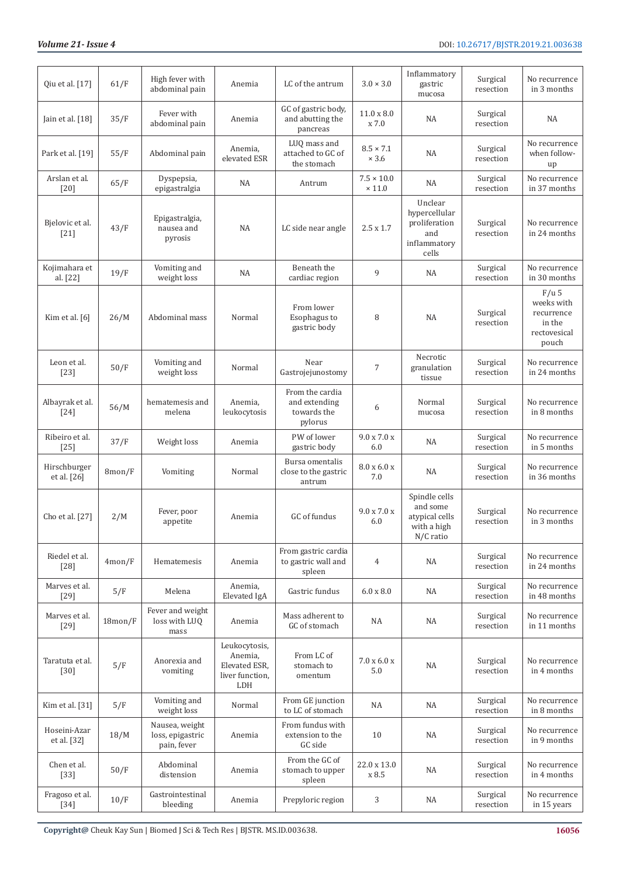| Qiu et al. [17]                       | 61/F      | High fever with<br>abdominal pain                 | Anemia                                                              | LC of the antrum                                           | $3.0 \times 3.0$                   | Inflammatory<br>gastric<br>mucosa                                         | Surgical<br>resection | No recurrence<br>in 3 months                                           |
|---------------------------------------|-----------|---------------------------------------------------|---------------------------------------------------------------------|------------------------------------------------------------|------------------------------------|---------------------------------------------------------------------------|-----------------------|------------------------------------------------------------------------|
| Jain et al. $[18]$                    | 35/F      | Fever with<br>abdominal pain                      | Anemia                                                              | GC of gastric body,<br>and abutting the<br>pancreas        | $11.0 \times 8.0$<br>x 7.0         | <b>NA</b>                                                                 | Surgical<br>resection | NA                                                                     |
| Park et al. [19]                      | 55/F      | Abdominal pain                                    | Anemia,<br>elevated ESR                                             | LUQ mass and<br>attached to GC of<br>the stomach           | $8.5 \times 7.1$<br>$\times$ 3.6   | <b>NA</b>                                                                 | Surgical<br>resection | No recurrence<br>when follow-<br>up                                    |
| Arslan et al.<br>$[20]$               | 65/F      | Dyspepsia,<br>epigastralgia                       | <b>NA</b>                                                           | Antrum                                                     | $7.5 \times 10.0$<br>$\times$ 11.0 | NA                                                                        | Surgical<br>resection | No recurrence<br>in 37 months                                          |
| Bjelovic et al.<br>$[21]$             | 43/F      | Epigastralgia,<br>nausea and<br>pyrosis           | <b>NA</b>                                                           | LC side near angle                                         | $2.5 \times 1.7$                   | Unclear<br>hypercellular<br>proliferation<br>and<br>inflammatory<br>cells | Surgical<br>resection | No recurrence<br>in 24 months                                          |
| Kojimahara et<br>al. [22]             | 19/F      | Vomiting and<br>weight loss                       | NA                                                                  | Beneath the<br>cardiac region                              | 9                                  | NA                                                                        | Surgical<br>resection | No recurrence<br>in 30 months                                          |
| Kim et al. $[6]$                      | 26/M      | Abdominal mass                                    | Normal                                                              | From lower<br>Esophagus to<br>gastric body                 | 8                                  | NA                                                                        | Surgical<br>resection | $F/u$ 5<br>weeks with<br>recurrence<br>in the<br>rectovesical<br>pouch |
| Leon et al.<br>$[23]$                 | 50/F      | Vomiting and<br>weight loss                       | Normal                                                              | Near<br>Gastrojejunostomy                                  | $\overline{7}$                     | Necrotic<br>granulation<br>tissue                                         | Surgical<br>resection | No recurrence<br>in 24 months                                          |
| Albayrak et al.<br>$\lceil 24 \rceil$ | 56/M      | hematemesis and<br>melena                         | Anemia,<br>leukocytosis                                             | From the cardia<br>and extending<br>towards the<br>pylorus | 6                                  | Normal<br>mucosa                                                          | Surgical<br>resection | No recurrence<br>in 8 months                                           |
| Ribeiro et al.<br>$[25]$              | 37/F      | Weight loss                                       | Anemia                                                              | PW of lower<br>gastric body                                | $9.0 \times 7.0 \times$<br>6.0     | <b>NA</b>                                                                 | Surgical<br>resection | No recurrence<br>in 5 months                                           |
| Hirschburger<br>et al. [26]           | 8mon/F    | Vomiting                                          | Normal                                                              | Bursa omentalis<br>close to the gastric<br>antrum          | $8.0 \times 6.0 \times$<br>7.0     | NA                                                                        | Surgical<br>resection | No recurrence<br>in 36 months                                          |
| Cho et al. [27]                       | 2/M       | Fever, poor<br>appetite                           | Anemia                                                              | GC of fundus                                               | $9.0 \times 7.0 \times$<br>6.0     | Spindle cells<br>and some<br>atypical cells<br>with a high<br>N/C ratio   | Surgical<br>resection | No recurrence<br>in 3 months                                           |
| Riedel et al.<br>$[28]$               | $4$ mon/F | Hematemesis                                       | Anemia                                                              | From gastric cardia<br>to gastric wall and<br>spleen       | 4                                  | NA                                                                        | Surgical<br>resection | No recurrence<br>in 24 months                                          |
| Marves et al.<br>$[29]$               | 5/F       | Melena                                            | Anemia,<br>Elevated IgA                                             | Gastric fundus                                             | $6.0 \times 8.0$                   | NA                                                                        | Surgical<br>resection | No recurrence<br>in 48 months                                          |
| Marves et al.<br>$[29]$               | 18mon/F   | Fever and weight<br>loss with LUQ<br>mass         | Anemia                                                              | Mass adherent to<br>GC of stomach                          | NA                                 | NA                                                                        | Surgical<br>resection | No recurrence<br>in 11 months                                          |
| Taratuta et al.<br>$[30]$             | 5/F       | Anorexia and<br>vomiting                          | Leukocytosis,<br>Anemia,<br>Elevated ESR,<br>liver function,<br>LDH | From LC of<br>stomach to<br>omentum                        | $7.0 \times 6.0 \times$<br>5.0     | <b>NA</b>                                                                 | Surgical<br>resection | No recurrence<br>in 4 months                                           |
| Kim et al. [31]                       | 5/F       | Vomiting and<br>weight loss                       | Normal                                                              | From GE junction<br>to LC of stomach                       | NA                                 | NA                                                                        | Surgical<br>resection | No recurrence<br>in 8 months                                           |
| Hoseini-Azar<br>et al. [32]           | 18/M      | Nausea, weight<br>loss, epigastric<br>pain, fever | Anemia                                                              | From fundus with<br>extension to the<br>GC side            | 10                                 | NA                                                                        | Surgical<br>resection | No recurrence<br>in 9 months                                           |
| Chen et al.<br>$[33]$                 | 50/F      | Abdominal<br>distension                           | Anemia                                                              | From the GC of<br>stomach to upper<br>spleen               | 22.0 x 13.0<br>x 8.5               | <b>NA</b>                                                                 | Surgical<br>resection | No recurrence<br>in 4 months                                           |
| Fragoso et al.<br>$[34]$              | 10/F      | Gastrointestinal<br>bleeding                      | Anemia                                                              | Prepyloric region                                          | 3                                  | NA                                                                        | Surgical<br>resection | No recurrence<br>in 15 years                                           |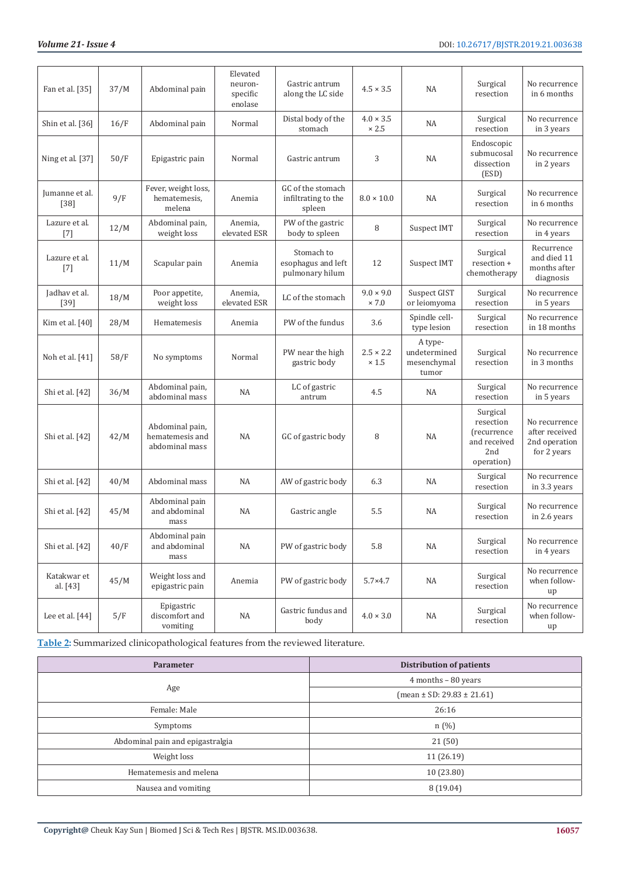| Fan et al. [35]          | 37/M | Abdominal pain                                       | Elevated<br>neuron-<br>specific<br>enolase | Gastric antrum<br>along the LC side                 | $4.5 \times 3.5$                 | NA                                              | Surgical<br>resection                                                                   | No recurrence<br>in 6 months                                    |
|--------------------------|------|------------------------------------------------------|--------------------------------------------|-----------------------------------------------------|----------------------------------|-------------------------------------------------|-----------------------------------------------------------------------------------------|-----------------------------------------------------------------|
| Shin et al. [36]         | 16/F | Abdominal pain                                       | Normal                                     | Distal body of the<br>stomach                       | $4.0 \times 3.5$<br>$\times 2.5$ | <b>NA</b>                                       | Surgical<br>resection                                                                   | No recurrence<br>in 3 years                                     |
| Ning et al. [37]         | 50/F | Epigastric pain                                      | Normal                                     | Gastric antrum                                      | 3                                | <b>NA</b>                                       | Endoscopic<br>submucosal<br>dissection<br>(ESD)                                         | No recurrence<br>in 2 years                                     |
| Jumanne et al.<br>$[38]$ | 9/F  | Fever, weight loss,<br>hematemesis,<br>melena        | Anemia                                     | GC of the stomach<br>infiltrating to the<br>spleen  | $8.0 \times 10.0$                | NA                                              | Surgical<br>resection                                                                   | No recurrence<br>in 6 months                                    |
| Lazure et al.<br>$[7]$   | 12/M | Abdominal pain,<br>weight loss                       | Anemia,<br>elevated ESR                    | PW of the gastric<br>body to spleen                 | 8                                | Suspect IMT                                     | Surgical<br>resection                                                                   | No recurrence<br>in 4 years                                     |
| Lazure et al.<br>$[7]$   | 11/M | Scapular pain                                        | Anemia                                     | Stomach to<br>esophagus and left<br>pulmonary hilum | 12                               | Suspect IMT                                     | Surgical<br>resection +<br>chemotherapy                                                 | Recurrence<br>and died 11<br>months after<br>diagnosis          |
| Jadhav et al.<br>$[39]$  | 18/M | Poor appetite,<br>weight loss                        | Anemia,<br>elevated ESR                    | LC of the stomach                                   | $9.0 \times 9.0$<br>$\times 7.0$ | Suspect GIST<br>or leiomyoma                    | Surgical<br>resection                                                                   | No recurrence<br>in 5 years                                     |
| Kim et al. [40]          | 28/M | Hematemesis                                          | Anemia                                     | PW of the fundus                                    | 3.6                              | Spindle cell-<br>type lesion                    | Surgical<br>resection                                                                   | No recurrence<br>in 18 months                                   |
| Noh et al. [41]          | 58/F | No symptoms                                          | Normal                                     | PW near the high<br>gastric body                    | $2.5 \times 2.2$<br>$\times 1.5$ | A type-<br>undetermined<br>mesenchymal<br>tumor | Surgical<br>resection                                                                   | No recurrence<br>in 3 months                                    |
| Shi et al. [42]          | 36/M | Abdominal pain,<br>abdominal mass                    | NA                                         | LC of gastric<br>antrum                             | 4.5                              | NA                                              | Surgical<br>resection                                                                   | No recurrence<br>in 5 years                                     |
| Shi et al. [42]          | 42/M | Abdominal pain,<br>hematemesis and<br>abdominal mass | NA                                         | GC of gastric body                                  | 8                                | <b>NA</b>                                       | Surgical<br>resection<br><i><u>frecurrence</u></i><br>and received<br>2nd<br>operation) | No recurrence<br>after received<br>2nd operation<br>for 2 years |
| Shi et al. [42]          | 40/M | Abdominal mass                                       | NA                                         | AW of gastric body                                  | 6.3                              | NA                                              | Surgical<br>resection                                                                   | No recurrence<br>in 3.3 years                                   |
| Shi et al. [42]          | 45/M | Abdominal pain<br>and abdominal<br>mass              | NA                                         | Gastric angle                                       | 5.5                              | NA                                              | Surgical<br>resection                                                                   | No recurrence<br>in 2.6 years                                   |
| Shi et al. [42]          | 40/F | Abdominal pain<br>and abdominal<br>mass              | NA                                         | PW of gastric body                                  | 5.8                              | NA                                              | Surgical<br>resection                                                                   | No recurrence<br>in 4 years                                     |
| Katakwar et<br>al. [43]  | 45/M | Weight loss and<br>epigastric pain                   | Anemia                                     | PW of gastric body                                  | $5.7 \times 4.7$                 | NA                                              | Surgical<br>resection                                                                   | No recurrence<br>when follow-<br>up                             |
| Lee et al. $[44]$        | 5/F  | Epigastric<br>discomfort and<br>vomiting             | NA                                         | Gastric fundus and<br>body                          | $4.0 \times 3.0$                 | NA                                              | Surgical<br>resection                                                                   | No recurrence<br>when follow-<br>up                             |

**Table 2:** Summarized clinicopathological features from the reviewed literature.

| <b>Parameter</b>                 | Distribution of patients           |  |  |
|----------------------------------|------------------------------------|--|--|
|                                  | $4$ months $-80$ years             |  |  |
| Age                              | $mean \pm SD$ : 29.83 $\pm$ 21.61) |  |  |
| Female: Male                     | 26:16                              |  |  |
| Symptoms                         | $n(\%)$                            |  |  |
| Abdominal pain and epigastralgia | 21(50)                             |  |  |
| Weight loss                      | 11(26.19)                          |  |  |
| Hematemesis and melena           | 10(23.80)                          |  |  |
| Nausea and vomiting              | 8(19.04)                           |  |  |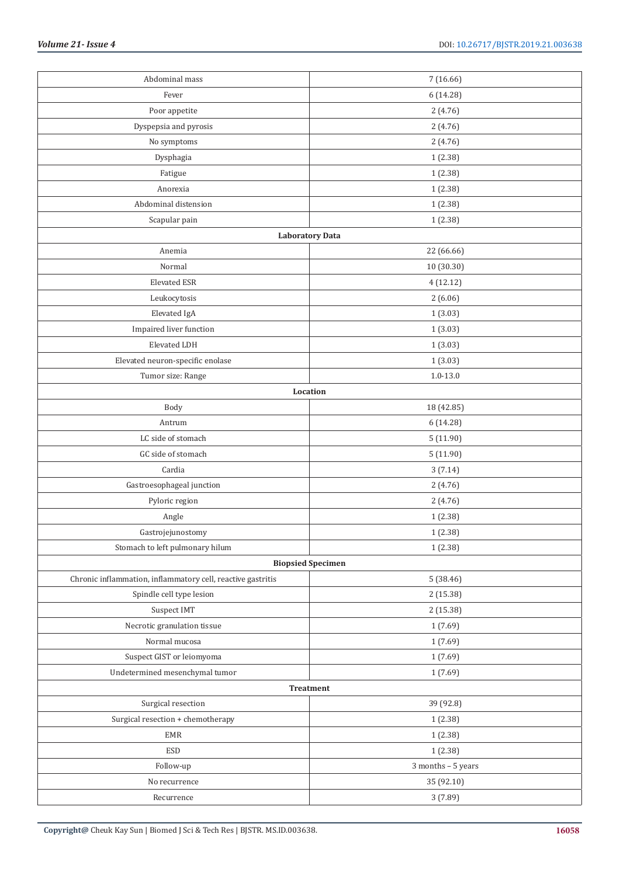| Abdominal mass                                              | 7(16.66)                 |  |
|-------------------------------------------------------------|--------------------------|--|
| Fever                                                       | 6 (14.28)                |  |
| Poor appetite                                               | 2(4.76)                  |  |
| Dyspepsia and pyrosis                                       | 2(4.76)                  |  |
| No symptoms                                                 | 2(4.76)                  |  |
| Dysphagia                                                   | 1(2.38)                  |  |
| Fatigue                                                     | 1(2.38)                  |  |
| Anorexia                                                    | 1(2.38)                  |  |
| Abdominal distension                                        | 1(2.38)                  |  |
| Scapular pain                                               | 1(2.38)                  |  |
|                                                             | <b>Laboratory Data</b>   |  |
| Anemia                                                      | 22 (66.66)               |  |
| Normal                                                      | 10 (30.30)               |  |
| <b>Elevated ESR</b>                                         | 4(12.12)                 |  |
| Leukocytosis                                                | 2(6.06)                  |  |
| Elevated IgA                                                | 1(3.03)                  |  |
| Impaired liver function                                     | 1(3.03)                  |  |
| Elevated LDH                                                | 1(3.03)                  |  |
| Elevated neuron-specific enolase                            | 1(3.03)                  |  |
| Tumor size: Range                                           | $1.0 - 13.0$             |  |
|                                                             | Location                 |  |
| Body                                                        | 18 (42.85)               |  |
| Antrum                                                      |                          |  |
| LC side of stomach                                          | 6 (14.28)                |  |
|                                                             | 5(11.90)                 |  |
| GC side of stomach                                          | 5(11.90)                 |  |
| Cardia                                                      | 3(7.14)                  |  |
| Gastroesophageal junction                                   | 2(4.76)                  |  |
| Pyloric region                                              | 2(4.76)                  |  |
| Angle                                                       | 1(2.38)                  |  |
| Gastrojejunostomy                                           | 1(2.38)                  |  |
| Stomach to left pulmonary hilum                             | 1(2.38)                  |  |
|                                                             | <b>Biopsied Specimen</b> |  |
| Chronic inflammation, inflammatory cell, reactive gastritis | 5(38.46)                 |  |
| Spindle cell type lesion                                    | 2(15.38)                 |  |
| Suspect IMT                                                 | 2 (15.38)                |  |
| Necrotic granulation tissue                                 | 1(7.69)                  |  |
| Normal mucosa                                               | 1(7.69)                  |  |
| Suspect GIST or leiomyoma                                   | 1(7.69)                  |  |
| Undetermined mesenchymal tumor                              | 1(7.69)                  |  |
|                                                             | Treatment                |  |
| Surgical resection                                          | 39 (92.8)                |  |
| Surgical resection + chemotherapy                           | 1(2.38)                  |  |
| EMR                                                         | 1(2.38)                  |  |
| ESD                                                         | 1(2.38)                  |  |
| Follow-up                                                   | 3 months - 5 years       |  |
| No recurrence                                               | 35 (92.10)               |  |
| Recurrence                                                  | 3 (7.89)                 |  |
|                                                             |                          |  |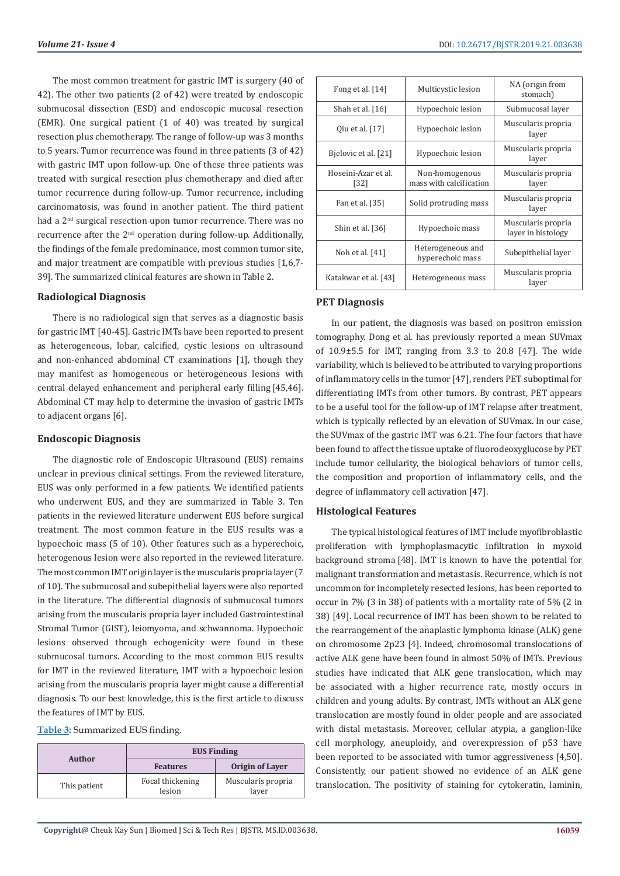The most common treatment for gastric IMT is surgery (40 of 42). The other two patients (2 of 42) were treated by endoscopic submucosal dissection (ESD) and endoscopic mucosal resection (EMR). One surgical patient (1 of 40) was treated by surgical resection plus chemotherapy. The range of follow-up was 3 months to 5 years. Tumor recurrence was found in three patients (3 of 42) with gastric IMT upon follow-up. One of these three patients was treated with surgical resection plus chemotherapy and died after tumor recurrence during follow-up. Tumor recurrence, including carcinomatosis, was found in another patient. The third patient had a 2<sup>nd</sup> surgical resection upon tumor recurrence. There was no recurrence after the 2<sup>nd</sup> operation during follow-up. Additionally, the findings of the female predominance, most common tumor site, and major treatment are compatible with previous studies [1,6,7- 39]. The summarized clinical features are shown in Table 2.

# **Radiological Diagnosis**

There is no radiological sign that serves as a diagnostic basis for gastric IMT [40-45]. Gastric IMTs have been reported to present as heterogeneous, lobar, calcified, cystic lesions on ultrasound and non-enhanced abdominal CT examinations [1], though they may manifest as homogeneous or heterogeneous lesions with central delayed enhancement and peripheral early filling [45,46]. Abdominal CT may help to determine the invasion of gastric IMTs to adjacent organs [6].

# **Endoscopic Diagnosis**

The diagnostic role of Endoscopic Ultrasound (EUS) remains unclear in previous clinical settings. From the reviewed literature, EUS was only performed in a few patients. We identified patients who underwent EUS, and they are summarized in Table 3. Ten patients in the reviewed literature underwent EUS before surgical treatment. The most common feature in the EUS results was a hypoechoic mass (5 of 10). Other features such as a hyperechoic, heterogenous lesion were also reported in the reviewed literature. The most common IMT origin layer is the muscularis propria layer (7 of 10). The submucosal and subepithelial layers were also reported in the literature. The differential diagnosis of submucosal tumors arising from the muscularis propria layer included Gastrointestinal Stromal Tumor (GIST), leiomyoma, and schwannoma. Hypoechoic lesions observed through echogenicity were found in these submucosal tumors. According to the most common EUS results for IMT in the reviewed literature, IMT with a hypoechoic lesion arising from the muscularis propria layer might cause a differential diagnosis. To our best knowledge, this is the first article to discuss the features of IMT by EUS.

**Table 3:** Summarized EUS finding.

| Author       | <b>EUS Finding</b>         |                             |  |  |
|--------------|----------------------------|-----------------------------|--|--|
|              | <b>Features</b>            | Origin of Laver             |  |  |
| This patient | Focal thickening<br>lesion | Muscularis propria<br>layer |  |  |

| Fong et al. $[14]$          | Multicystic lesion                        | NA (origin from<br>stomach)              |
|-----------------------------|-------------------------------------------|------------------------------------------|
| Shah et al. [16]            | Hypoechoic lesion                         | Submucosal layer                         |
| Qiu et al. [17]             | Hypoechoic lesion                         | Muscularis propria<br>laver              |
| Bjelovic et al. [21]        | Hypoechoic lesion                         | Muscularis propria<br>laver              |
| Hoseini-Azar et al.<br>[32] | Non-homogenous<br>mass with calcification | Muscularis propria<br>layer              |
| Fan et al. [35]             | Solid protruding mass                     | Muscularis propria<br>layer              |
| Shin et al. [36]            | Hypoechoic mass                           | Muscularis propria<br>layer in histology |
| Noh et al. [41]             | Heterogeneous and<br>hyperechoic mass     | Subepithelial layer                      |
| Katakwar et al. [43]        | Heterogeneous mass                        | Muscularis propria<br>laver              |

# **PET Diagnosis**

In our patient, the diagnosis was based on positron emission tomography. Dong et al. has previously reported a mean SUVmax of 10.9±5.5 for IMT, ranging from 3.3 to 20.8 [47]. The wide variability, which is believed to be attributed to varying proportions of inflammatory cells in the tumor [47], renders PET suboptimal for differentiating IMTs from other tumors. By contrast, PET appears to be a useful tool for the follow-up of IMT relapse after treatment, which is typically reflected by an elevation of SUVmax. In our case, the SUVmax of the gastric IMT was 6.21. The four factors that have been found to affect the tissue uptake of fluorodeoxyglucose by PET include tumor cellularity, the biological behaviors of tumor cells, the composition and proportion of inflammatory cells, and the degree of inflammatory cell activation [47].

# **Histological Features**

The typical histological features of IMT include myofibroblastic proliferation with lymphoplasmacytic infiltration in myxoid background stroma [48]. IMT is known to have the potential for malignant transformation and metastasis. Recurrence, which is not uncommon for incompletely resected lesions, has been reported to occur in 7% (3 in 38) of patients with a mortality rate of 5% (2 in 38) [49]. Local recurrence of IMT has been shown to be related to the rearrangement of the anaplastic lymphoma kinase (ALK) gene on chromosome 2p23 [4]. Indeed, chromosomal translocations of active ALK gene have been found in almost 50% of IMTs. Previous studies have indicated that ALK gene translocation, which may be associated with a higher recurrence rate, mostly occurs in children and young adults. By contrast, IMTs without an ALK gene translocation are mostly found in older people and are associated with distal metastasis. Moreover, cellular atypia, a ganglion-like cell morphology, aneuploidy, and overexpression of p53 have been reported to be associated with tumor aggressiveness [4,50]. Consistently, our patient showed no evidence of an ALK gene translocation. The positivity of staining for cytokeratin, laminin,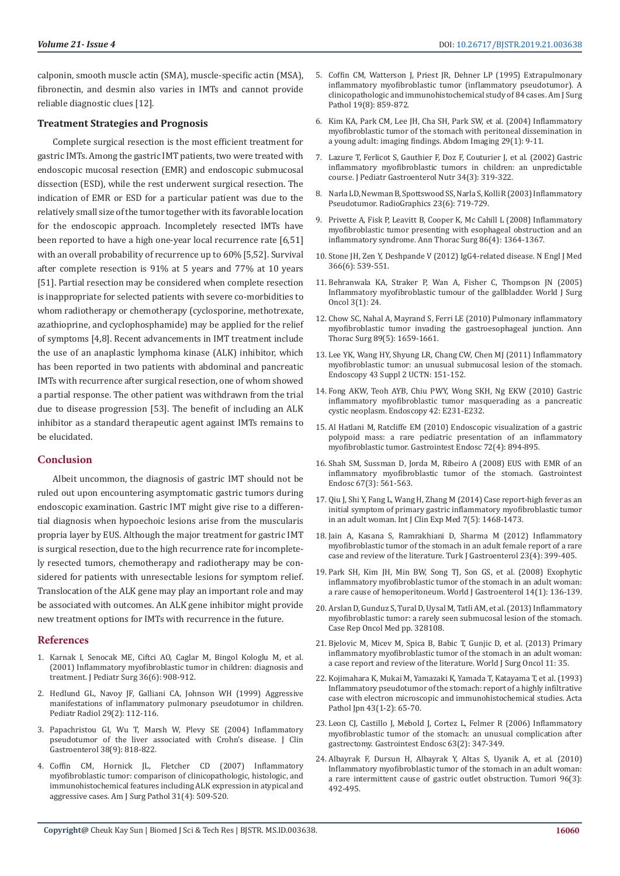calponin, smooth muscle actin (SMA), muscle-specific actin (MSA), fibronectin, and desmin also varies in IMTs and cannot provide reliable diagnostic clues [12].

# **Treatment Strategies and Prognosis**

Complete surgical resection is the most efficient treatment for gastric IMTs. Among the gastric IMT patients, two were treated with endoscopic mucosal resection (EMR) and endoscopic submucosal dissection (ESD), while the rest underwent surgical resection. The indication of EMR or ESD for a particular patient was due to the relatively small size of the tumor together with its favorable location for the endoscopic approach. Incompletely resected IMTs have been reported to have a high one-year local recurrence rate [6,51] with an overall probability of recurrence up to 60%[5,52]. Survival after complete resection is 91% at 5 years and 77% at 10 years [51]. Partial resection may be considered when complete resection is inappropriate for selected patients with severe co-morbidities to whom radiotherapy or chemotherapy (cyclosporine, methotrexate, azathioprine, and cyclophosphamide) may be applied for the relief of symptoms [4,8]. Recent advancements in IMT treatment include the use of an anaplastic lymphoma kinase (ALK) inhibitor, which has been reported in two patients with abdominal and pancreatic IMTs with recurrence after surgical resection, one of whom showed a partial response. The other patient was withdrawn from the trial due to disease progression [53]. The benefit of including an ALK inhibitor as a standard therapeutic agent against IMTs remains to be elucidated.

# **Conclusion**

Albeit uncommon, the diagnosis of gastric IMT should not be ruled out upon encountering asymptomatic gastric tumors during endoscopic examination. Gastric IMT might give rise to a differential diagnosis when hypoechoic lesions arise from the muscularis propria layer by EUS. Although the major treatment for gastric IMT is surgical resection, due to the high recurrence rate for incompletely resected tumors, chemotherapy and radiotherapy may be considered for patients with unresectable lesions for symptom relief. Translocation of the ALK gene may play an important role and may be associated with outcomes. An ALK gene inhibitor might provide new treatment options for IMTs with recurrence in the future.

## **References**

- 1. [Karnak I, Senocak ME, Ciftci AO, Caglar M, Bingol Kologlu M, et al.](https://www.ncbi.nlm.nih.gov/pubmed/?term=10.1053%2Fjpsu.2001.23970)  [\(2001\) Inflammatory myofibroblastic tumor in children: diagnosis and](https://www.ncbi.nlm.nih.gov/pubmed/?term=10.1053%2Fjpsu.2001.23970)  [treatment. J Pediatr Surg 36\(6\): 908-912.](https://www.ncbi.nlm.nih.gov/pubmed/?term=10.1053%2Fjpsu.2001.23970)
- 2. [Hedlund GL, Navoy JF, Galliani CA, Johnson WH \(1999\) Aggressive](https://www.ncbi.nlm.nih.gov/pubmed/?term=10.1007%2Fs002470050553)  [manifestations of inflammatory pulmonary pseudotumor in children.](https://www.ncbi.nlm.nih.gov/pubmed/?term=10.1007%2Fs002470050553)  [Pediatr Radiol 29\(2\): 112-116.](https://www.ncbi.nlm.nih.gov/pubmed/?term=10.1007%2Fs002470050553)
- 3. [Papachristou GI, Wu T, Marsh W, Plevy SE \(2004\) Inflammatory](https://www.ncbi.nlm.nih.gov/pubmed/?term=10.1097%2F00004836-200410000-00020)  [pseudotumor of the liver associated with Crohn's disease. J Clin](https://www.ncbi.nlm.nih.gov/pubmed/?term=10.1097%2F00004836-200410000-00020)  [Gastroenterol 38\(9\): 818-822.](https://www.ncbi.nlm.nih.gov/pubmed/?term=10.1097%2F00004836-200410000-00020)
- 4. [Coffin CM, Hornick JL, Fletcher CD \(2007\) Inflammatory](https://www.ncbi.nlm.nih.gov/pubmed/?term=10.1097%2F01.pas.0000213393.57322.c7)  [myofibroblastic tumor: comparison of clinicopathologic, histologic, and](https://www.ncbi.nlm.nih.gov/pubmed/?term=10.1097%2F01.pas.0000213393.57322.c7)  [immunohistochemical features including ALK expression in atypical and](https://www.ncbi.nlm.nih.gov/pubmed/?term=10.1097%2F01.pas.0000213393.57322.c7)  [aggressive cases. Am J Surg Pathol 31\(4\): 509-520.](https://www.ncbi.nlm.nih.gov/pubmed/?term=10.1097%2F01.pas.0000213393.57322.c7)
- 5. [Coffin CM, Watterson J, Priest JR, Dehner LP \(1995\) Extrapulmonary](https://www.ncbi.nlm.nih.gov/pubmed/?term=10.1097%2F00000478-199508000-00001) [inflammatory myofibroblastic tumor \(inflammatory pseudotumor\). A](https://www.ncbi.nlm.nih.gov/pubmed/?term=10.1097%2F00000478-199508000-00001) [clinicopathologic and immunohistochemical study of 84 cases. Am J Surg](https://www.ncbi.nlm.nih.gov/pubmed/?term=10.1097%2F00000478-199508000-00001) [Pathol 19\(8\): 859-872.](https://www.ncbi.nlm.nih.gov/pubmed/?term=10.1097%2F00000478-199508000-00001)
- 6. [Kim KA, Park CM, Lee JH, Cha SH, Park SW, et al. \(2004\) Inflammatory](https://www.ncbi.nlm.nih.gov/pubmed/?term=10.1007%2Fs00261-003-0085-z) [myofibroblastic tumor of the stomach with peritoneal dissemination in](https://www.ncbi.nlm.nih.gov/pubmed/?term=10.1007%2Fs00261-003-0085-z) [a young adult: imaging findings. Abdom Imaging 29\(1\): 9-11.](https://www.ncbi.nlm.nih.gov/pubmed/?term=10.1007%2Fs00261-003-0085-z)
- 7. [Lazure T, Ferlicot S, Gauthier F, Doz F, Couturier J, et al. \(2002\) Gastric](https://www.ncbi.nlm.nih.gov/pubmed/?term=10.1097%2F00005176-200203000-00020) [inflammatory myofibroblastic tumors in children: an unpredictable](https://www.ncbi.nlm.nih.gov/pubmed/?term=10.1097%2F00005176-200203000-00020) [course. J Pediatr Gastroenterol Nutr 34\(3\): 319-322.](https://www.ncbi.nlm.nih.gov/pubmed/?term=10.1097%2F00005176-200203000-00020)
- 8. [Narla LD, Newman B, Spottswood SS, Narla S, Kolli R \(2003\) Inflammatory](https://www.ncbi.nlm.nih.gov/pubmed/?term=10.1148%2Frg.233025073) [Pseudotumor. RadioGraphics 23\(6\): 719-729.](https://www.ncbi.nlm.nih.gov/pubmed/?term=10.1148%2Frg.233025073)
- 9. [Privette A, Fisk P, Leavitt B, Cooper K, Mc Cahill L \(2008\) Inflammatory](https://www.ncbi.nlm.nih.gov/pubmed/?term=10.1016%2Fj.athoracsur.2008.03.056) [myofibroblastic tumor presenting with esophageal obstruction and an](https://www.ncbi.nlm.nih.gov/pubmed/?term=10.1016%2Fj.athoracsur.2008.03.056) [inflammatory syndrome. Ann Thorac Surg 86\(4\): 1364-1367.](https://www.ncbi.nlm.nih.gov/pubmed/?term=10.1016%2Fj.athoracsur.2008.03.056)
- 10. [Stone JH, Zen Y, Deshpande V \(2012\) IgG4-related disease. N Engl J Med](https://www.ncbi.nlm.nih.gov/pubmed/?term=10.1056%2FNEJMra1104650) [366\(6\): 539-551.](https://www.ncbi.nlm.nih.gov/pubmed/?term=10.1056%2FNEJMra1104650)
- 11. [Behranwala KA, Straker P, Wan A, Fisher C, Thompson JN \(2005\)](https://www.ncbi.nlm.nih.gov/pubmed/?term=10.1186%2F1477-7819-3-24) [Inflammatory myofibroblastic tumour of the gallbladder. World J Surg](https://www.ncbi.nlm.nih.gov/pubmed/?term=10.1186%2F1477-7819-3-24) [Oncol 3\(1\): 24.](https://www.ncbi.nlm.nih.gov/pubmed/?term=10.1186%2F1477-7819-3-24)
- 12. [Chow SC, Nahal A, Mayrand S, Ferri LE \(2010\) Pulmonary inflammatory](https://www.ncbi.nlm.nih.gov/pubmed/?term=10.1016%2Fj.athoracsur.2009.09.082) [myofibroblastic tumor invading the gastroesophageal junction. Ann](https://www.ncbi.nlm.nih.gov/pubmed/?term=10.1016%2Fj.athoracsur.2009.09.082) [Thorac Surg 89\(5\): 1659-1661.](https://www.ncbi.nlm.nih.gov/pubmed/?term=10.1016%2Fj.athoracsur.2009.09.082)
- 13. [Lee YK, Wang HY, Shyung LR, Chang CW, Chen MJ \(2011\) Inflammatory](https://www.ncbi.nlm.nih.gov/pubmed/?term=10.1055%2Fs-0030-1256257) [myofibroblastic tumor: an unusual submucosal lesion of the stomach.](https://www.ncbi.nlm.nih.gov/pubmed/?term=10.1055%2Fs-0030-1256257) [Endoscopy 43 Suppl 2 UCTN: 151-152.](https://www.ncbi.nlm.nih.gov/pubmed/?term=10.1055%2Fs-0030-1256257)
- 14. [Fong AKW, Teoh AYB, Chiu PWY, Wong SKH, Ng EKW \(2010\) Gastric](https://www.ncbi.nlm.nih.gov/pubmed/?term=10.1055%2Fs-0029-1244227) [inflammatory myofibroblastic tumor masquerading as a pancreatic](https://www.ncbi.nlm.nih.gov/pubmed/?term=10.1055%2Fs-0029-1244227) [cystic neoplasm. Endoscopy 42: E231-E232.](https://www.ncbi.nlm.nih.gov/pubmed/?term=10.1055%2Fs-0029-1244227)
- 15. [Al Hatlani M, Ratcliffe EM \(2010\) Endoscopic visualization of a gastric](https://www.ncbi.nlm.nih.gov/pubmed/?term=10.1016%2Fj.gie.2010.01.046) [polypoid mass: a rare pediatric presentation of an inflammatory](https://www.ncbi.nlm.nih.gov/pubmed/?term=10.1016%2Fj.gie.2010.01.046) [myofibroblastic tumor. Gastrointest Endosc 72\(4\): 894-895.](https://www.ncbi.nlm.nih.gov/pubmed/?term=10.1016%2Fj.gie.2010.01.046)
- 16. [Shah SM, Sussman D, Jorda M, Ribeiro A \(2008\) EUS with EMR of an](https://www.ncbi.nlm.nih.gov/pubmed/?term=10.1016%2Fj.gie.2007.06.031) [inflammatory myofibroblastic tumor of the stomach. Gastrointest](https://www.ncbi.nlm.nih.gov/pubmed/?term=10.1016%2Fj.gie.2007.06.031) [Endosc 67\(3\): 561-563.](https://www.ncbi.nlm.nih.gov/pubmed/?term=10.1016%2Fj.gie.2007.06.031)
- 17. [Qiu J, Shi Y, Fang L, Wang H, Zhang M \(2014\) Case report-high fever as an](https://www.ncbi.nlm.nih.gov/pubmed/?term=24995114) [initial symptom of primary gastric inflammatory myofibroblastic tumor](https://www.ncbi.nlm.nih.gov/pubmed/?term=24995114) [in an adult woman. Int J Clin Exp Med 7\(5\): 1468-1473.](https://www.ncbi.nlm.nih.gov/pubmed/?term=24995114)
- 18. [Jain A, Kasana S, Ramrakhiani D, Sharma M \(2012\) Inflammatory](https://www.ncbi.nlm.nih.gov/pubmed/?term=10.4318%2Ftjg.2012.0399) [myofibroblastic tumor of the stomach in an adult female report of a rare](https://www.ncbi.nlm.nih.gov/pubmed/?term=10.4318%2Ftjg.2012.0399) [case and review of the literature. Turk J Gastroenterol 23\(4\): 399-405.](https://www.ncbi.nlm.nih.gov/pubmed/?term=10.4318%2Ftjg.2012.0399)
- 19. [Park SH, Kim JH, Min BW, Song TJ, Son GS, et al. \(2008\) Exophytic](https://www.ncbi.nlm.nih.gov/pubmed/?term=10.3748%2Fwjg.14.136) [inflammatory myofibroblastic tumor of the stomach in an adult woman:](https://www.ncbi.nlm.nih.gov/pubmed/?term=10.3748%2Fwjg.14.136) [a rare cause of hemoperitoneum. World J Gastroenterol 14\(1\): 136-139.](https://www.ncbi.nlm.nih.gov/pubmed/?term=10.3748%2Fwjg.14.136)
- 20. [Arslan D, Gunduz S, Tural D, Uysal M, Tatli AM, et al. \(2013\) Inflammatory](https://www.ncbi.nlm.nih.gov/pubmed/?term=10.1155%2F2013%2F328108) [myofibroblastic tumor: a rarely seen submucosal lesion of the stomach.](https://www.ncbi.nlm.nih.gov/pubmed/?term=10.1155%2F2013%2F328108) [Case Rep Oncol Med pp. 328108.](https://www.ncbi.nlm.nih.gov/pubmed/?term=10.1155%2F2013%2F328108)
- 21. [Bjelovic M, Micev M, Spica B, Babic T, Gunjic D, et al. \(2013\) Primary](https://www.ncbi.nlm.nih.gov/pubmed/?term=10.1186%2F1477-7819-11-35) [inflammatory myofibroblastic tumor of the stomach in an adult woman:](https://www.ncbi.nlm.nih.gov/pubmed/?term=10.1186%2F1477-7819-11-35) [a case report and review of the literature. World J Surg Oncol 11: 35.](https://www.ncbi.nlm.nih.gov/pubmed/?term=10.1186%2F1477-7819-11-35)
- 22. [Kojimahara K, Mukai M, Yamazaki K, Yamada T, Katayama T, et al. \(1993\)](https://www.ncbi.nlm.nih.gov/pubmed/?term=8465658) [Inflammatory pseudotumor of the stomach: report of a highly infiltrative](https://www.ncbi.nlm.nih.gov/pubmed/?term=8465658) [case with electron microscopic and immunohistochemical studies. Acta](https://www.ncbi.nlm.nih.gov/pubmed/?term=8465658) [Pathol Jpn 43\(1-2\): 65-70.](https://www.ncbi.nlm.nih.gov/pubmed/?term=8465658)
- 23. [Leon CJ, Castillo J, Mebold J, Cortez L, Felmer R \(2006\) Inflammatory](https://www.ncbi.nlm.nih.gov/pubmed/?term=10.1016%2Fj.gie.2005.09.026) [myofibroblastic tumor of the stomach: an unusual complication after](https://www.ncbi.nlm.nih.gov/pubmed/?term=10.1016%2Fj.gie.2005.09.026) [gastrectomy. Gastrointest Endosc 63\(2\): 347-349.](https://www.ncbi.nlm.nih.gov/pubmed/?term=10.1016%2Fj.gie.2005.09.026)
- 24. [Albayrak F, Dursun H, Albayrak Y, Altas S, Uyanik A, et al. \(2010\)](https://www.ncbi.nlm.nih.gov/pubmed/?term=20845815) [Inflammatory myofibroblastic tumor of the stomach in an adult woman:](https://www.ncbi.nlm.nih.gov/pubmed/?term=20845815) [a rare intermittent cause of gastric outlet obstruction. Tumori 96\(3\):](https://www.ncbi.nlm.nih.gov/pubmed/?term=20845815) [492-495.](https://www.ncbi.nlm.nih.gov/pubmed/?term=20845815)